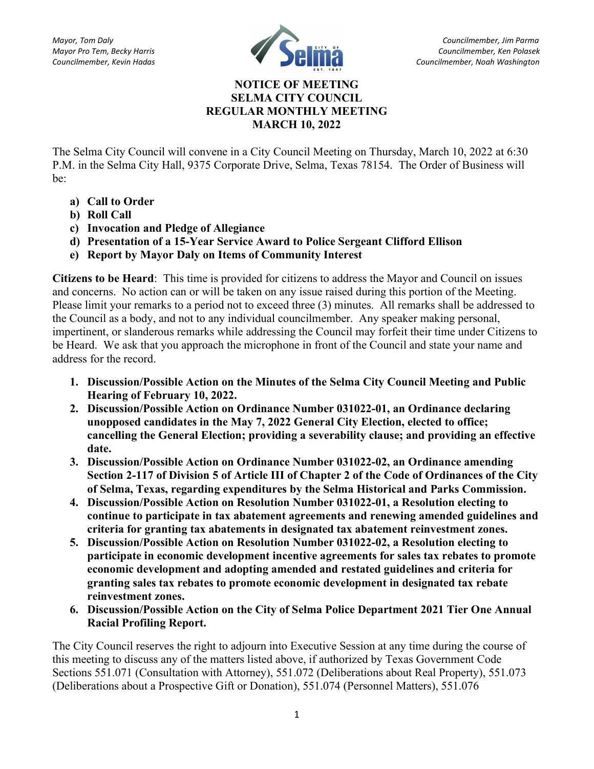

## NOTICE OF MEETING SELMA CITY COUNCIL REGULAR MONTHLY MEETING MARCH 10, 2022

The Selma City Council will convene in a City Council Meeting on Thursday, March 10, 2022 at 6:30 P.M. in the Selma City Hall, 9375 Corporate Drive, Selma, Texas 78154. The Order of Business will be:

- a) Call to Order
- b) Roll Call
- c) Invocation and Pledge of Allegiance
- d) Presentation of a 15-Year Service Award to Police Sergeant Clifford Ellison
- e) Report by Mayor Daly on Items of Community Interest

Citizens to be Heard: This time is provided for citizens to address the Mayor and Council on issues and concerns. No action can or will be taken on any issue raised during this portion of the Meeting. Please limit your remarks to a period not to exceed three (3) minutes. All remarks shall be addressed to the Council as a body, and not to any individual councilmember. Any speaker making personal, impertinent, or slanderous remarks while addressing the Council may forfeit their time under Citizens to be Heard. We ask that you approach the microphone in front of the Council and state your name and address for the record.

- 1. Discussion/Possible Action on the Minutes of the Selma City Council Meeting and Public Hearing of February 10, 2022.
- 2. Discussion/Possible Action on Ordinance Number 031022-01, an Ordinance declaring unopposed candidates in the May 7, 2022 General City Election, elected to office; cancelling the General Election; providing a severability clause; and providing an effective date.
- 3. Discussion/Possible Action on Ordinance Number 031022-02, an Ordinance amending Section 2-117 of Division 5 of Article III of Chapter 2 of the Code of Ordinances of the City of Selma, Texas, regarding expenditures by the Selma Historical and Parks Commission.
- 4. Discussion/Possible Action on Resolution Number 031022-01, a Resolution electing to continue to participate in tax abatement agreements and renewing amended guidelines and criteria for granting tax abatements in designated tax abatement reinvestment zones.
- 5. Discussion/Possible Action on Resolution Number 031022-02, a Resolution electing to participate in economic development incentive agreements for sales tax rebates to promote economic development and adopting amended and restated guidelines and criteria for granting sales tax rebates to promote economic development in designated tax rebate reinvestment zones.
- 6. Discussion/Possible Action on the City of Selma Police Department 2021 Tier One Annual Racial Profiling Report.

The City Council reserves the right to adjourn into Executive Session at any time during the course of this meeting to discuss any of the matters listed above, if authorized by Texas Government Code Sections 551.071 (Consultation with Attorney), 551.072 (Deliberations about Real Property), 551.073 (Deliberations about a Prospective Gift or Donation), 551.074 (Personnel Matters), 551.076